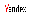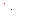

#### ClickHouse Keeper

Alexander Sapin, Software Engineer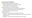# Consensus Problem

In modern world applications are distributed

- › Multiple independed servers (processes) involved
- › Communication via unreliable network

Sometimes agreement on some data required

- › Many cases: leader election, load balancing, value increment
- › Failures may happen: network errors, processes failures
- › No reliable clocks exists (in fact not true)

**Required properties** 

- › Termination every alive processes agrees some value v;
- › Integrity if all the alive processes propose value *<sup>v</sup>*, then any correct process must agree on *v*;
- › Agreement every alive process must agree on the same value.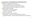# Consensus in Real World: State Machine

Agreement on a single value is not enough

- › Consensus algorithms works on state machines
- › State machines has some *state* and *operations* (*transitions*)
- › Often operations stored in *log* and applied to state machine
- Example: distributed hash table
	- › State machine in-memory hash table
	- › Operations: *set(key, value)*, *get(key)*
	- › Log: *set('x', 5)*, *set('y', 10)*, ...

› ...

Consistency models: history of operations

- › Linearizeability equal to some sequential order for everyone
- › Sequential consistency equal to some sequential order for a single process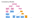#### Consistency Models

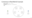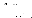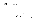

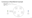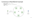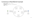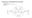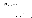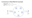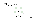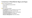# Consensus in Real World: Algos and Apps

Some consensus algorithms

- › Paxos, MultiPaxos (around 2000)
- › ZAB (2011)
- › Raft (2014)

Solves consensus problem:

- › **Coordination:** Chubby, ZooKeeper, etcd, Consul
- › **KV Storage:** DynamoDB, Cassandra, Riak
- › **Distributed Databases:** Spanner, CockroachDB
- › **Stream Processing:** Kafka, Millwheel
- › **Resource Management:** Kubernetes, Mesos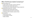# Why ClickHouse needs Consensus?

**Replicated Merge Tree** 

- › Leader-leader eventually-consistent replication
- › Distributed state machine with own log
- › Consensus: block numbers allocation, merges assignment

Distributed DDL queries (ON CLUSTER)

- › Distributed state machine with own log
- › Sequential queries execution for each shard
- › Consensus: order of queries, executor choice

**Main properties** 

- › Small amount of data
- › Linearizeability for writes
- › Highly available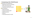# Consensus for ClickHouse

**ClickHouse use ZooKeeper for** 

- › Replicated merge tree metadata
- › DDL queries log storage
- Distributed notification system

**Why ZooKeeper?** 

- › Historical reasons
- › Simple and powerful API
- › MultiTransactions
- **Watches**
- › Good performance for reads

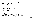# ZooKeeper Coordination System

State Machine (Data Model)

- › Filesystem-like distributed hash-table
- › Each node can have both data and children
- › Nodes have stats (version of data, of children, ...)
- › No data types, everything is string

Client API

- › Own TCP full-duplex protocol
- › Persistent session for each client (unique session\_id)

**Main operations** 

- › Read: get(node), list(node), exists(node), check(node, version)
- › Write: set(node, value), create(node), remove(node)
- › Writes can be combined into MultiTransactions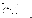### ZooKeeper Features

State Machine features

- › Ephemeral nodes disappear with session disconnect
- › Sequential nodes unique names with ten digits number
- › Node can be both sequential and ephemeral

**Client API features** 

- › Watches server-side one-time triggers
- › Session restore client can reconnect with the same session\_id

Pluggable ACL + authentication system

› The most strange implementation I've ever seen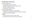# ZooKeeper Internals

Consistency Guarantees

- › Linearizeability for write operations
- › Sequential consistency for reads (reads are local)
- › Atomicity of MultiTransactions
- › No rollbacks of commited writes

**Consensus Implementation** 

- › Own algorithm: ZooKeeper Atomic Broadcast
- › Operations are idempotent and stored in log files on filesystem
- › Regular state machine snapshots

**Scalability** 

- › Linear for reads (more servers, faster reads)
- › Inverse linear for writes (more servers, slower writes)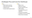# ZooKeeper Pros and Cons for ClickHouse

#### Pros:

- › Battle tested consensus
- › Appropriate data model
- › Simple protocol
- › Has own client implementation

#### Cons:

- › Writen in Java
- › Difficult to operate
- › Require separate servers
- › ZXID overflow
- › Uncompressed logs and snapshots
- › Checksums are optional
- › Unreliable reconnect semantics
- › Almost does not develop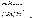# ClickHouse Keeper

Replacement for ZooKeeper

- › Compatible client protocol (all clients work out of the box)
- › The same state machine (data model)
- › Better guarantees (optionally allows linearizeable reads)
- › Comparable performance (better for reads, similar for writes) **Implementation** 
	- › Written in C++, bundled into clickhouse-server package
	- › Uses Raft algorithm (NuRaft implementation)
	- › Can be embedded into ClickHouse server
	- › Optional TLS for clients and internal communication

Advantages over ZooKeeper

- › Checksums in logs, snapshots and internal protocol
- › Compressed snapshots and logs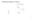**Client** 

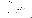L F F Raft HB  $HB$ 



**Client**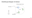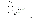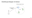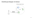L  $\cdot$ ï Raft F Requests forwarding F **Client**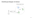L F F **Client** Raft create("/n1", "hello")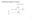L F F **Client** create("/n1", "hello")  $\left\{\right.$  Raft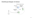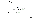L F F **Client** append  $log$   $\left\{ \right.$  Raft response: Ok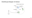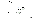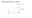L F F **Client** Raft Ok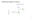L F F **Client** Raft get("/n1")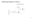L F F **Client** Raft Ok: "hello"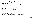# ClickHouse Keeper: Testing

#### **Ordinary ClickHouse tests**

- › Functional tests use clickhouse-keeper in single node mode
- › Integration tests use clickhouse-keeper in three nodes mode
- › Separate integration tests for basic functionality

#### Jepsen tests (http://jepsen.io/)

- › General framework for distributed systems testing
- › Written in Clojure with consistency checks
- › Failures: crashes, network partitions, disk corruption, network slow downs
- › More tests than for ZooKeeper
- › About 5 serious bugs found both in NuRaft and our code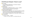# ClickHouse Keeper: How to use?

Two modes

- › As standalone application (clickhouse-keeper)
- › Inside clickhouse-server

**Configuration** 

- › Very similar to clickhouse-server .xml (or .yml) file
- › Must be equal for all quorum participants

General recommendations

- › Place directory with logs to the independet SSD if possible
- › Don't try to have more than 9 quorum participants
- › Don't change configuration for more than 1 server at once Run standalone
	- clickhouse-keeper --daemon

```
--config /etc/your_path_to_config/config.xml
```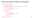# ClickHouse Keeper: Simpliest Configuration

```
<keeper_server>
    <tcp_port>9181</tcp_port>
    <server id>1</server id>
    <storage_path>/var/lib/clickhouse/coordination/</storage_path>
    <coordination_settings>
        <force_sync>false</force_sync>
    </coordination_settings>
    <raft_configuration>
        <server>
            <id>1</id>
            <hostname>localhost</hostname>
            <port>44444</port>
        </server>
    \langle /raft configuration>
</keeper_server>
```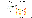Standalone Keeper Cluster

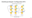Independed Keeper for each shard

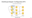One powerful shard with Keeper

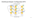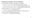# ClickHouse Keeper: Some Settings

If using slow disk or have big network latency try to increase

- > heart beat interval ms how often leader will send heartbeats
- › election\_timeout\_lower\_bound\_ms how long followers will wait for HB
- › election\_timeout\_upper\_bound\_ms how long followers will wait for HB Quorum priorities in raft configuration of server
	- › can\_become\_leader server will be *observer*
- › priority server will become leader more often according to priority **If you need reads linearizeability [experimental]** 
	- › quorum\_reads read requests go through Raft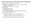# ClickHouse Keeper: Migration from ZooKeeper

Separate tool clickhouse-keeper-converter

- › Allows to convert ZooKeeper data to clickhouse-keeper snapshot
- › Checked for ZooKeeper 3.4+
- › Bundled into clickhouse-server package

How to migrate

- › Stop all ZooKeeper nodes
- › Found leader for migration
- › Start ZooKeeper on leader node and stop again (force snapshot)
- › Run clickhouse-keeper-converter:

clickhouse-keeper-converter

- --zookeeper-logs-dir /path\_to\_zookeeper/version-2
- --zookeeper-snapshots-dir /path\_to\_zookeeper/version-2
- --output-dir /path/to/clickhouse/keeper/snapshots
- › Copy resulted snapshot to all clickhouse-keeper nodes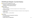# ClickHouse Keeper: Current Status

#### Preproduction (available since 21.8)

- › Testing in Yandex.Cloud installations
- › Testing by some experienced users

#### What to read

- › Documentation: https://clickhouse.tech/docs/en/operations/clickhouse-keeper/
- › Integration tests:
	- https://github.com/ClickHouse/ClickHouse/tree/master/tests/integration
- › NuRaft docs:
	- https://github.com/eBay/NuRaft

#### Next steps

- › Four-letter words introspection interface
- › Compressed logs
- $\sum_{46/47}$  Elastic quorum configuration